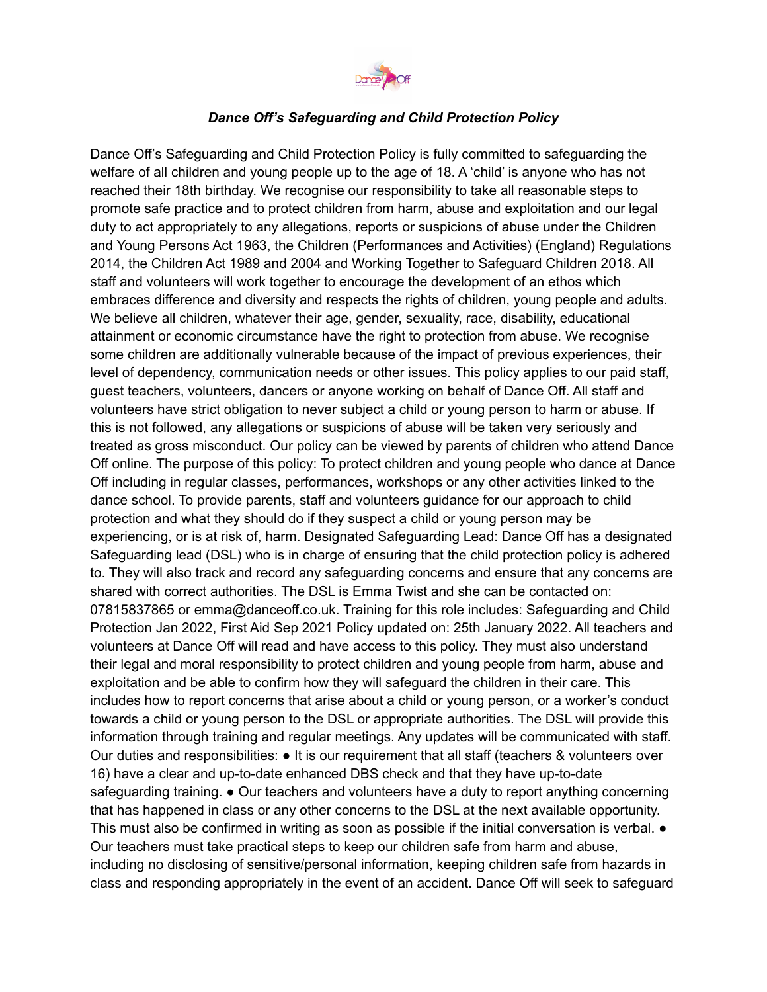

## *Dance Off's Safeguarding and Child Protection Policy*

Dance Off's Safeguarding and Child Protection Policy is fully committed to safeguarding the welfare of all children and young people up to the age of 18. A 'child' is anyone who has not reached their 18th birthday. We recognise our responsibility to take all reasonable steps to promote safe practice and to protect children from harm, abuse and exploitation and our legal duty to act appropriately to any allegations, reports or suspicions of abuse under the Children and Young Persons Act 1963, the Children (Performances and Activities) (England) Regulations 2014, the Children Act 1989 and 2004 and Working Together to Safeguard Children 2018. All staff and volunteers will work together to encourage the development of an ethos which embraces difference and diversity and respects the rights of children, young people and adults. We believe all children, whatever their age, gender, sexuality, race, disability, educational attainment or economic circumstance have the right to protection from abuse. We recognise some children are additionally vulnerable because of the impact of previous experiences, their level of dependency, communication needs or other issues. This policy applies to our paid staff, guest teachers, volunteers, dancers or anyone working on behalf of Dance Off. All staff and volunteers have strict obligation to never subject a child or young person to harm or abuse. If this is not followed, any allegations or suspicions of abuse will be taken very seriously and treated as gross misconduct. Our policy can be viewed by parents of children who attend Dance Off online. The purpose of this policy: To protect children and young people who dance at Dance Off including in regular classes, performances, workshops or any other activities linked to the dance school. To provide parents, staff and volunteers guidance for our approach to child protection and what they should do if they suspect a child or young person may be experiencing, or is at risk of, harm. Designated Safeguarding Lead: Dance Off has a designated Safeguarding lead (DSL) who is in charge of ensuring that the child protection policy is adhered to. They will also track and record any safeguarding concerns and ensure that any concerns are shared with correct authorities. The DSL is Emma Twist and she can be contacted on: 07815837865 or emma@danceoff.co.uk. Training for this role includes: Safeguarding and Child Protection Jan 2022, First Aid Sep 2021 Policy updated on: 25th January 2022. All teachers and volunteers at Dance Off will read and have access to this policy. They must also understand their legal and moral responsibility to protect children and young people from harm, abuse and exploitation and be able to confirm how they will safeguard the children in their care. This includes how to report concerns that arise about a child or young person, or a worker's conduct towards a child or young person to the DSL or appropriate authorities. The DSL will provide this information through training and regular meetings. Any updates will be communicated with staff. Our duties and responsibilities: ● It is our requirement that all staff (teachers & volunteers over 16) have a clear and up-to-date enhanced DBS check and that they have up-to-date safeguarding training. • Our teachers and volunteers have a duty to report anything concerning that has happened in class or any other concerns to the DSL at the next available opportunity. This must also be confirmed in writing as soon as possible if the initial conversation is verbal.  $\bullet$ Our teachers must take practical steps to keep our children safe from harm and abuse, including no disclosing of sensitive/personal information, keeping children safe from hazards in class and responding appropriately in the event of an accident. Dance Off will seek to safeguard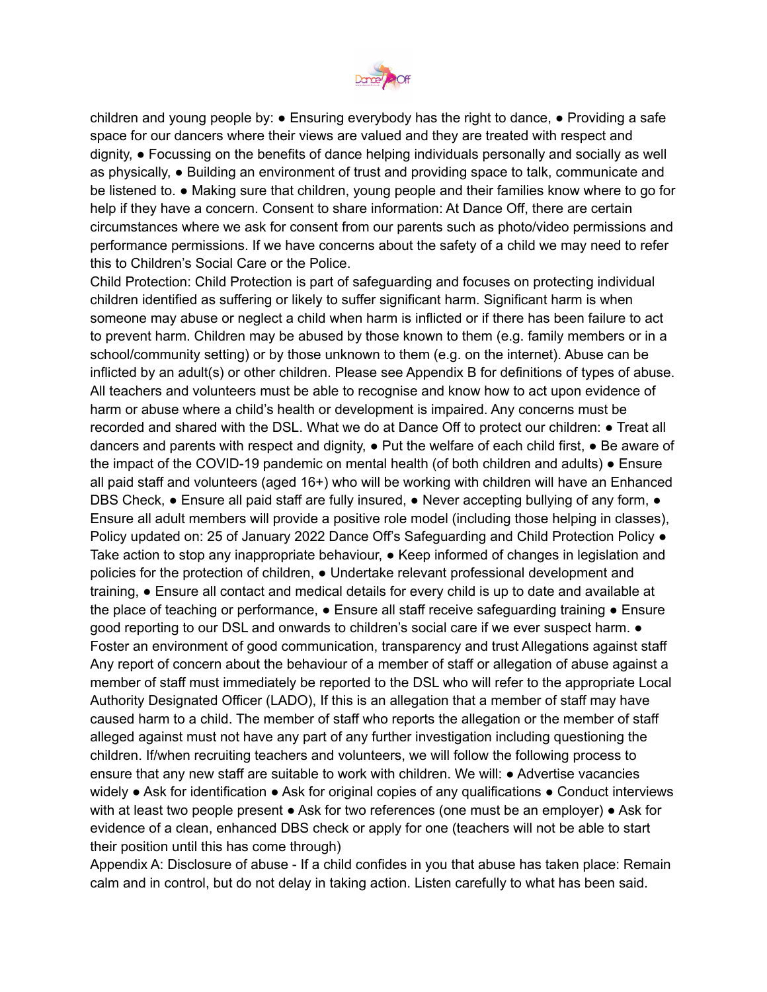

children and young people by: ● Ensuring everybody has the right to dance, ● Providing a safe space for our dancers where their views are valued and they are treated with respect and dignity, ● Focussing on the benefits of dance helping individuals personally and socially as well as physically, ● Building an environment of trust and providing space to talk, communicate and be listened to. ● Making sure that children, young people and their families know where to go for help if they have a concern. Consent to share information: At Dance Off, there are certain circumstances where we ask for consent from our parents such as photo/video permissions and performance permissions. If we have concerns about the safety of a child we may need to refer this to Children's Social Care or the Police.

Child Protection: Child Protection is part of safeguarding and focuses on protecting individual children identified as suffering or likely to suffer significant harm. Significant harm is when someone may abuse or neglect a child when harm is inflicted or if there has been failure to act to prevent harm. Children may be abused by those known to them (e.g. family members or in a school/community setting) or by those unknown to them (e.g. on the internet). Abuse can be inflicted by an adult(s) or other children. Please see Appendix B for definitions of types of abuse. All teachers and volunteers must be able to recognise and know how to act upon evidence of harm or abuse where a child's health or development is impaired. Any concerns must be recorded and shared with the DSL. What we do at Dance Off to protect our children: ● Treat all dancers and parents with respect and dignity,  $\bullet$  Put the welfare of each child first,  $\bullet$  Be aware of the impact of the COVID-19 pandemic on mental health (of both children and adults) • Ensure all paid staff and volunteers (aged 16+) who will be working with children will have an Enhanced DBS Check, • Ensure all paid staff are fully insured, • Never accepting bullying of any form, • Ensure all adult members will provide a positive role model (including those helping in classes), Policy updated on: 25 of January 2022 Dance Off's Safeguarding and Child Protection Policy  $\bullet$ Take action to stop any inappropriate behaviour, ● Keep informed of changes in legislation and policies for the protection of children, ● Undertake relevant professional development and training, ● Ensure all contact and medical details for every child is up to date and available at the place of teaching or performance,  $\bullet$  Ensure all staff receive safeguarding training  $\bullet$  Ensure good reporting to our DSL and onwards to children's social care if we ever suspect harm. ● Foster an environment of good communication, transparency and trust Allegations against staff Any report of concern about the behaviour of a member of staff or allegation of abuse against a member of staff must immediately be reported to the DSL who will refer to the appropriate Local Authority Designated Officer (LADO), If this is an allegation that a member of staff may have caused harm to a child. The member of staff who reports the allegation or the member of staff alleged against must not have any part of any further investigation including questioning the children. If/when recruiting teachers and volunteers, we will follow the following process to ensure that any new staff are suitable to work with children. We will: ● Advertise vacancies widely ● Ask for identification ● Ask for original copies of any qualifications ● Conduct interviews with at least two people present  $\bullet$  Ask for two references (one must be an employer)  $\bullet$  Ask for evidence of a clean, enhanced DBS check or apply for one (teachers will not be able to start their position until this has come through)

Appendix A: Disclosure of abuse - If a child confides in you that abuse has taken place: Remain calm and in control, but do not delay in taking action. Listen carefully to what has been said.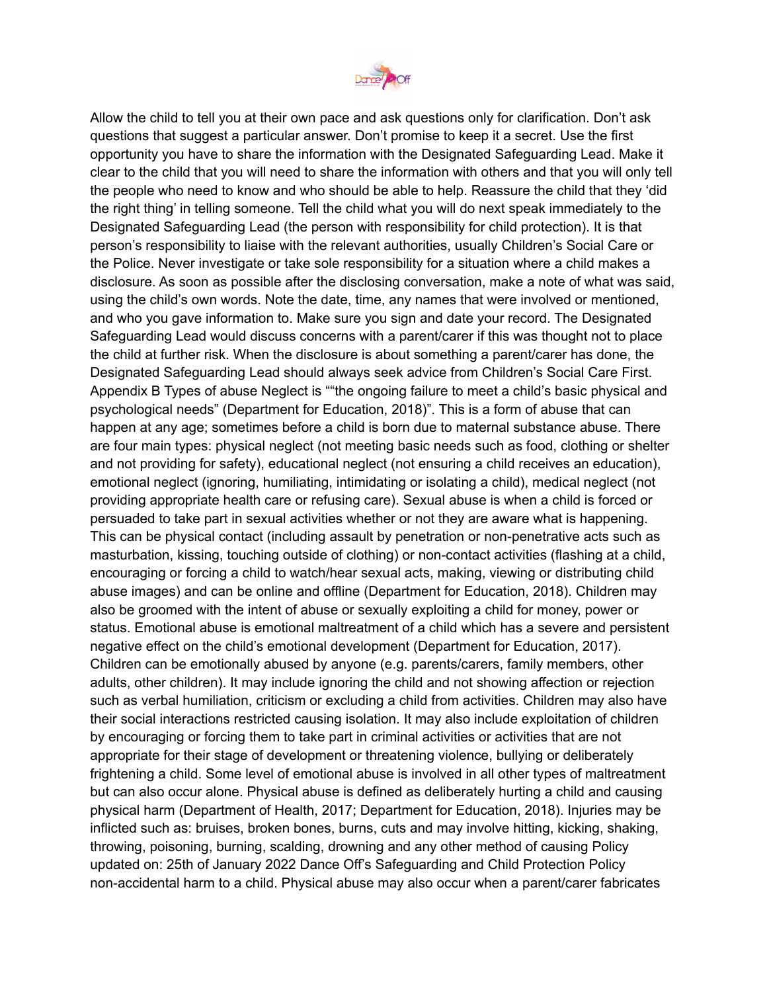

Allow the child to tell you at their own pace and ask questions only for clarification. Don't ask questions that suggest a particular answer. Don't promise to keep it a secret. Use the first opportunity you have to share the information with the Designated Safeguarding Lead. Make it clear to the child that you will need to share the information with others and that you will only tell the people who need to know and who should be able to help. Reassure the child that they 'did the right thing' in telling someone. Tell the child what you will do next speak immediately to the Designated Safeguarding Lead (the person with responsibility for child protection). It is that person's responsibility to liaise with the relevant authorities, usually Children's Social Care or the Police. Never investigate or take sole responsibility for a situation where a child makes a disclosure. As soon as possible after the disclosing conversation, make a note of what was said, using the child's own words. Note the date, time, any names that were involved or mentioned, and who you gave information to. Make sure you sign and date your record. The Designated Safeguarding Lead would discuss concerns with a parent/carer if this was thought not to place the child at further risk. When the disclosure is about something a parent/carer has done, the Designated Safeguarding Lead should always seek advice from Children's Social Care First. Appendix B Types of abuse Neglect is ""the ongoing failure to meet a child's basic physical and psychological needs" (Department for Education, 2018)". This is a form of abuse that can happen at any age; sometimes before a child is born due to maternal substance abuse. There are four main types: physical neglect (not meeting basic needs such as food, clothing or shelter and not providing for safety), educational neglect (not ensuring a child receives an education), emotional neglect (ignoring, humiliating, intimidating or isolating a child), medical neglect (not providing appropriate health care or refusing care). Sexual abuse is when a child is forced or persuaded to take part in sexual activities whether or not they are aware what is happening. This can be physical contact (including assault by penetration or non-penetrative acts such as masturbation, kissing, touching outside of clothing) or non-contact activities (flashing at a child, encouraging or forcing a child to watch/hear sexual acts, making, viewing or distributing child abuse images) and can be online and offline (Department for Education, 2018). Children may also be groomed with the intent of abuse or sexually exploiting a child for money, power or status. Emotional abuse is emotional maltreatment of a child which has a severe and persistent negative effect on the child's emotional development (Department for Education, 2017). Children can be emotionally abused by anyone (e.g. parents/carers, family members, other adults, other children). It may include ignoring the child and not showing affection or rejection such as verbal humiliation, criticism or excluding a child from activities. Children may also have their social interactions restricted causing isolation. It may also include exploitation of children by encouraging or forcing them to take part in criminal activities or activities that are not appropriate for their stage of development or threatening violence, bullying or deliberately frightening a child. Some level of emotional abuse is involved in all other types of maltreatment but can also occur alone. Physical abuse is defined as deliberately hurting a child and causing physical harm (Department of Health, 2017; Department for Education, 2018). Injuries may be inflicted such as: bruises, broken bones, burns, cuts and may involve hitting, kicking, shaking, throwing, poisoning, burning, scalding, drowning and any other method of causing Policy updated on: 25th of January 2022 Dance Off's Safeguarding and Child Protection Policy non-accidental harm to a child. Physical abuse may also occur when a parent/carer fabricates